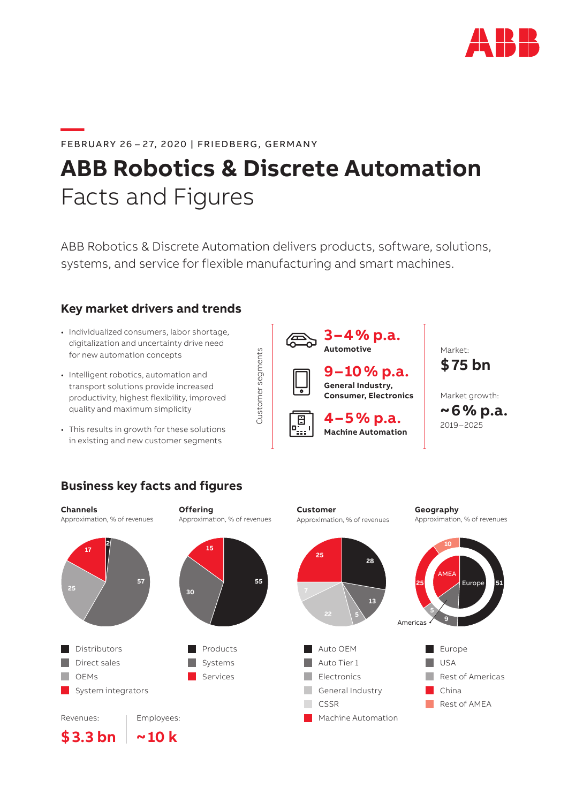

## **—**FEBRUARY 26 – 27, 2020 | FRIEDBERG, GERMANY

# **ABB Robotics & Discrete Automation** Facts and Figures

ABB Robotics & Discrete Automation delivers products, software, solutions, systems, and service for flexible manufacturing and smart machines.

Customer segments

Customer segments

## **Key market drivers and trends**

- Individualized consumers, labor shortage, digitalization and uncertainty drive need for new automation concepts
- Intelligent robotics, automation and transport solutions provide increased productivity, highest flexibility, improved quality and maximum simplicity
- This results in growth for these solutions in existing and new customer segments

# **Business key facts and figures**

**57**

**~10 k**

**Channels** Approximation, % of revenues

**2**

**17**

Revenues:

**\$3.3 bn**

**Distributors** Direct sales OEMs

System integrators